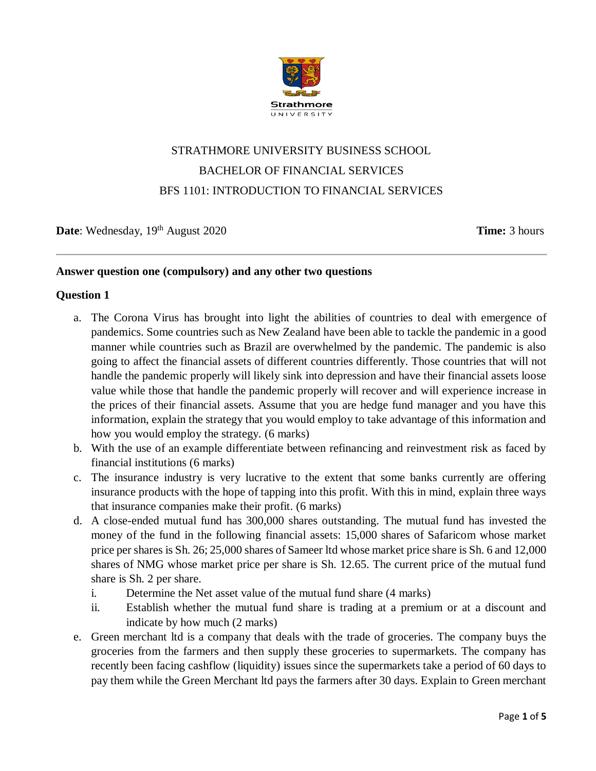

# STRATHMORE UNIVERSITY BUSINESS SCHOOL BACHELOR OF FINANCIAL SERVICES BFS 1101: INTRODUCTION TO FINANCIAL SERVICES

**Date**: Wednesday, 19<sup>th</sup> August 2020 **Time:** 3 hours

#### **Answer question one (compulsory) and any other two questions**

#### **Question 1**

- a. The Corona Virus has brought into light the abilities of countries to deal with emergence of pandemics. Some countries such as New Zealand have been able to tackle the pandemic in a good manner while countries such as Brazil are overwhelmed by the pandemic. The pandemic is also going to affect the financial assets of different countries differently. Those countries that will not handle the pandemic properly will likely sink into depression and have their financial assets loose value while those that handle the pandemic properly will recover and will experience increase in the prices of their financial assets. Assume that you are hedge fund manager and you have this information, explain the strategy that you would employ to take advantage of this information and how you would employ the strategy. (6 marks)
- b. With the use of an example differentiate between refinancing and reinvestment risk as faced by financial institutions (6 marks)
- c. The insurance industry is very lucrative to the extent that some banks currently are offering insurance products with the hope of tapping into this profit. With this in mind, explain three ways that insurance companies make their profit. (6 marks)
- d. A close-ended mutual fund has 300,000 shares outstanding. The mutual fund has invested the money of the fund in the following financial assets: 15,000 shares of Safaricom whose market price per shares is Sh. 26; 25,000 shares of Sameer ltd whose market price share is Sh. 6 and 12,000 shares of NMG whose market price per share is Sh. 12.65. The current price of the mutual fund share is Sh. 2 per share.
	- i. Determine the Net asset value of the mutual fund share (4 marks)
	- ii. Establish whether the mutual fund share is trading at a premium or at a discount and indicate by how much (2 marks)
- e. Green merchant ltd is a company that deals with the trade of groceries. The company buys the groceries from the farmers and then supply these groceries to supermarkets. The company has recently been facing cashflow (liquidity) issues since the supermarkets take a period of 60 days to pay them while the Green Merchant ltd pays the farmers after 30 days. Explain to Green merchant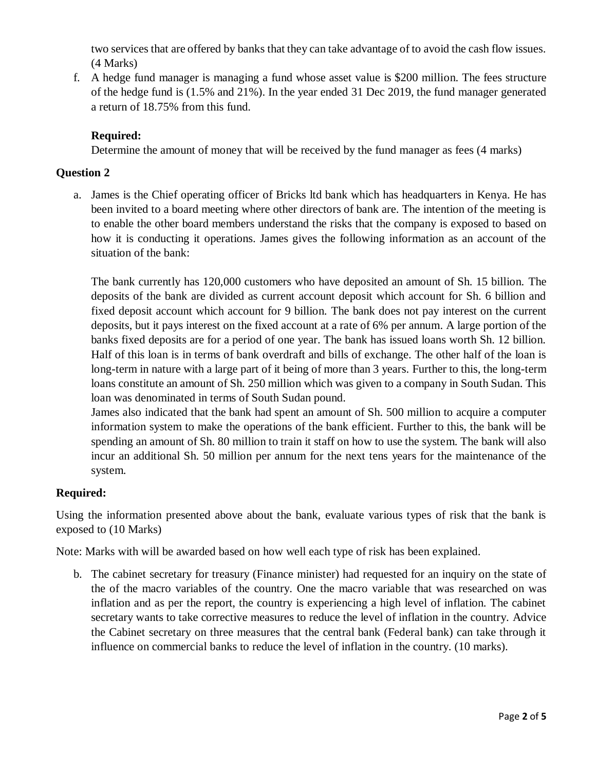two services that are offered by banks that they can take advantage of to avoid the cash flow issues. (4 Marks)

f. A hedge fund manager is managing a fund whose asset value is \$200 million. The fees structure of the hedge fund is (1.5% and 21%). In the year ended 31 Dec 2019, the fund manager generated a return of 18.75% from this fund.

## **Required:**

Determine the amount of money that will be received by the fund manager as fees (4 marks)

## **Question 2**

a. James is the Chief operating officer of Bricks ltd bank which has headquarters in Kenya. He has been invited to a board meeting where other directors of bank are. The intention of the meeting is to enable the other board members understand the risks that the company is exposed to based on how it is conducting it operations. James gives the following information as an account of the situation of the bank:

The bank currently has 120,000 customers who have deposited an amount of Sh. 15 billion. The deposits of the bank are divided as current account deposit which account for Sh. 6 billion and fixed deposit account which account for 9 billion. The bank does not pay interest on the current deposits, but it pays interest on the fixed account at a rate of 6% per annum. A large portion of the banks fixed deposits are for a period of one year. The bank has issued loans worth Sh. 12 billion. Half of this loan is in terms of bank overdraft and bills of exchange. The other half of the loan is long-term in nature with a large part of it being of more than 3 years. Further to this, the long-term loans constitute an amount of Sh. 250 million which was given to a company in South Sudan. This loan was denominated in terms of South Sudan pound.

James also indicated that the bank had spent an amount of Sh. 500 million to acquire a computer information system to make the operations of the bank efficient. Further to this, the bank will be spending an amount of Sh. 80 million to train it staff on how to use the system. The bank will also incur an additional Sh. 50 million per annum for the next tens years for the maintenance of the system.

# **Required:**

Using the information presented above about the bank, evaluate various types of risk that the bank is exposed to (10 Marks)

Note: Marks with will be awarded based on how well each type of risk has been explained.

b. The cabinet secretary for treasury (Finance minister) had requested for an inquiry on the state of the of the macro variables of the country. One the macro variable that was researched on was inflation and as per the report, the country is experiencing a high level of inflation. The cabinet secretary wants to take corrective measures to reduce the level of inflation in the country. Advice the Cabinet secretary on three measures that the central bank (Federal bank) can take through it influence on commercial banks to reduce the level of inflation in the country. (10 marks).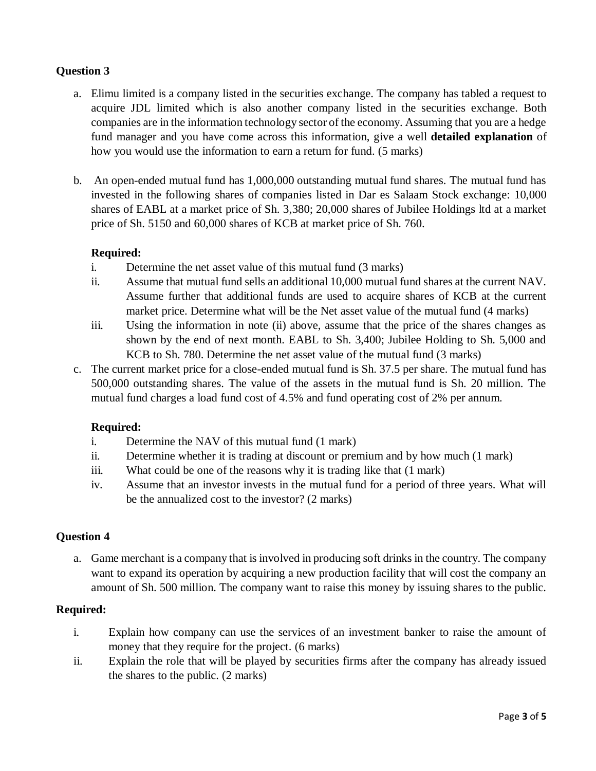## **Question 3**

- a. Elimu limited is a company listed in the securities exchange. The company has tabled a request to acquire JDL limited which is also another company listed in the securities exchange. Both companies are in the information technology sector of the economy. Assuming that you are a hedge fund manager and you have come across this information, give a well **detailed explanation** of how you would use the information to earn a return for fund. (5 marks)
- b. An open-ended mutual fund has 1,000,000 outstanding mutual fund shares. The mutual fund has invested in the following shares of companies listed in Dar es Salaam Stock exchange: 10,000 shares of EABL at a market price of Sh. 3,380; 20,000 shares of Jubilee Holdings ltd at a market price of Sh. 5150 and 60,000 shares of KCB at market price of Sh. 760.

#### **Required:**

- i. Determine the net asset value of this mutual fund (3 marks)
- ii. Assume that mutual fund sells an additional 10,000 mutual fund shares at the current NAV. Assume further that additional funds are used to acquire shares of KCB at the current market price. Determine what will be the Net asset value of the mutual fund (4 marks)
- iii. Using the information in note (ii) above, assume that the price of the shares changes as shown by the end of next month. EABL to Sh. 3,400; Jubilee Holding to Sh. 5,000 and KCB to Sh. 780. Determine the net asset value of the mutual fund (3 marks)
- c. The current market price for a close-ended mutual fund is Sh. 37.5 per share. The mutual fund has 500,000 outstanding shares. The value of the assets in the mutual fund is Sh. 20 million. The mutual fund charges a load fund cost of 4.5% and fund operating cost of 2% per annum.

#### **Required:**

- i. Determine the NAV of this mutual fund (1 mark)
- ii. Determine whether it is trading at discount or premium and by how much (1 mark)
- iii. What could be one of the reasons why it is trading like that (1 mark)
- iv. Assume that an investor invests in the mutual fund for a period of three years. What will be the annualized cost to the investor? (2 marks)

#### **Question 4**

a. Game merchant is a company that is involved in producing soft drinks in the country. The company want to expand its operation by acquiring a new production facility that will cost the company an amount of Sh. 500 million. The company want to raise this money by issuing shares to the public.

#### **Required:**

- i. Explain how company can use the services of an investment banker to raise the amount of money that they require for the project. (6 marks)
- ii. Explain the role that will be played by securities firms after the company has already issued the shares to the public. (2 marks)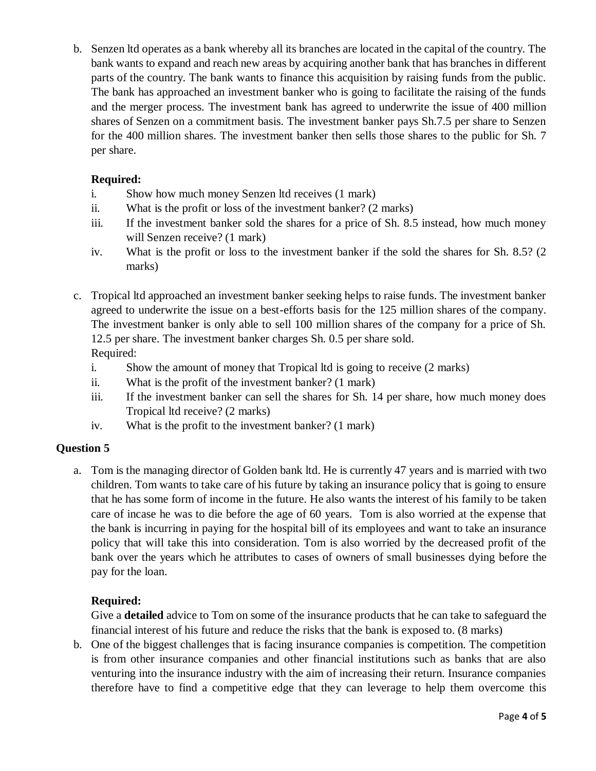b. Senzen ltd operates as a bank whereby all its branches are located in the capital of the country. The bank wants to expand and reach new areas by acquiring another bank that has branches in different parts of the country. The bank wants to finance this acquisition by raising funds from the public. The bank has approached an investment banker who is going to facilitate the raising of the funds and the merger process. The investment bank has agreed to underwrite the issue of 400 million shares of Senzen on a commitment basis. The investment banker pays Sh.7.5 per share to Senzen for the 400 million shares. The investment banker then sells those shares to the public for Sh. 7 per share.

## **Required:**

- i. Show how much money Senzen ltd receives (1 mark)
- ii. What is the profit or loss of the investment banker? (2 marks)
- iii. If the investment banker sold the shares for a price of Sh. 8.5 instead, how much money will Senzen receive? (1 mark)
- iv. What is the profit or loss to the investment banker if the sold the shares for Sh. 8.5? (2 marks)
- c. Tropical ltd approached an investment banker seeking helps to raise funds. The investment banker agreed to underwrite the issue on a best-efforts basis for the 125 million shares of the company. The investment banker is only able to sell 100 million shares of the company for a price of Sh. 12.5 per share. The investment banker charges Sh. 0.5 per share sold. Required:
	- i. Show the amount of money that Tropical ltd is going to receive (2 marks)
	- ii. What is the profit of the investment banker? (1 mark)
	- iii. If the investment banker can sell the shares for Sh. 14 per share, how much money does Tropical ltd receive? (2 marks)
	- iv. What is the profit to the investment banker? (1 mark)

### **Question 5**

a. Tom is the managing director of Golden bank ltd. He is currently 47 years and is married with two children. Tom wants to take care of his future by taking an insurance policy that is going to ensure that he has some form of income in the future. He also wants the interest of his family to be taken care of incase he was to die before the age of 60 years. Tom is also worried at the expense that the bank is incurring in paying for the hospital bill of its employees and want to take an insurance policy that will take this into consideration. Tom is also worried by the decreased profit of the bank over the years which he attributes to cases of owners of small businesses dying before the pay for the loan.

# **Required:**

Give a **detailed** advice to Tom on some of the insurance products that he can take to safeguard the financial interest of his future and reduce the risks that the bank is exposed to. (8 marks)

b. One of the biggest challenges that is facing insurance companies is competition. The competition is from other insurance companies and other financial institutions such as banks that are also venturing into the insurance industry with the aim of increasing their return. Insurance companies therefore have to find a competitive edge that they can leverage to help them overcome this